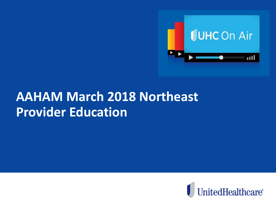

## **AAHAM March 2018 Northeast Provider Education**

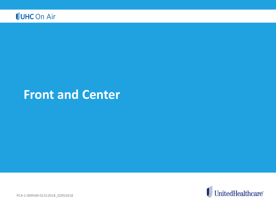

### **Front and Center**



PCA-1-009540-01312018\_02052018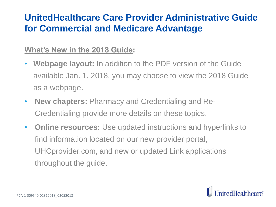### **UnitedHealthcare Care Provider Administrative Guide for Commercial and Medicare Advantage**

#### **What's New in the 2018 Guide:**

- **Webpage layout:** In addition to the PDF version of the Guide available Jan. 1, 2018, you may choose to view the 2018 Guide as a webpage.
- **New chapters:** Pharmacy and Credentialing and Re-Credentialing provide more details on these topics.
- **Online resources:** Use updated instructions and hyperlinks to find information located on our new provider portal, UHCprovider.com, and new or updated Link applications throughout the guide.

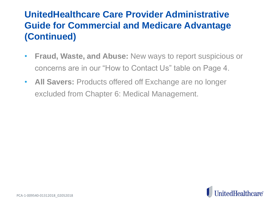### **UnitedHealthcare Care Provider Administrative Guide for Commercial and Medicare Advantage (Continued)**

- **Fraud, Waste, and Abuse:** New ways to report suspicious or concerns are in our "How to Contact Us" table on Page 4.
- **All Savers:** Products offered off Exchange are no longer excluded from Chapter 6: Medical Management.

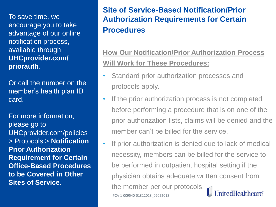To save time, we encourage you to take advantage of our online notification process, available through **UHCprovider.com/ priorauth**.

Or call the number on the member's health plan ID card.

For more information, please go to UHCprovider.com/policies > Protocols > **Notification Prior Authorization Requirement for Certain Office-Based Procedures to be Covered in Other Sites of Service**.

#### **Site of Service-Based Notification/Prior Authorization Requirements for Certain Procedures**

#### **How Our Notification/Prior Authorization Process Will Work for These Procedures:**

- Standard prior authorization processes and protocols apply.
- If the prior authorization process is not completed before performing a procedure that is on one of the prior authorization lists, claims will be denied and the member can't be billed for the service.
- If prior authorization is denied due to lack of medical necessity, members can be billed for the service to be performed in outpatient hospital setting if the physician obtains adequate written consent from the member per our protocols. UnitedHealthcare® PCA-1-009540-01312018\_02052018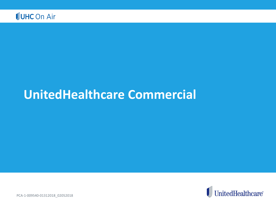

### **UnitedHealthcare Commercial**



PCA-1-009540-01312018\_02052018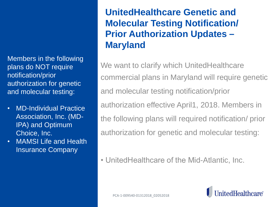Members in the following plans do NOT require notification/prior authorization for genetic and molecular testing:

- MD-Individual Practice Association, Inc. (MD-IPA) and Optimum Choice, Inc.
- MAMSI Life and Health Insurance Company

### **UnitedHealthcare Genetic and Molecular Testing Notification/ Prior Authorization Updates – Maryland**

We want to clarify which UnitedHealthcare commercial plans in Maryland will require genetic and molecular testing notification/prior authorization effective April1, 2018. Members in the following plans will required notification/ prior authorization for genetic and molecular testing:

• UnitedHealthcare of the Mid-Atlantic, Inc.

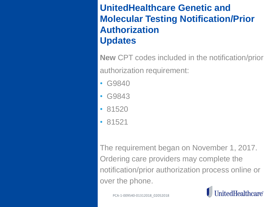### **UnitedHealthcare Genetic and Molecular Testing Notification/Prior Authorization Updates**

**New** CPT codes included in the notification/prior authorization requirement:

- G9840
- G9843
- 81520
- 81521

The requirement began on November 1, 2017. Ordering care providers may complete the notification/prior authorization process online or over the phone.



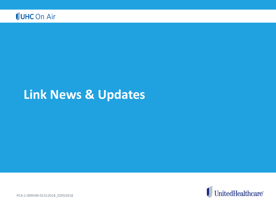

### **Link News & Updates**



PCA-1-009540-01312018\_02052018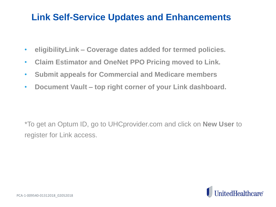### **Link Self-Service Updates and Enhancements**

- **eligibilityLink – Coverage dates added for termed policies.**
- **Claim Estimator and OneNet PPO Pricing moved to Link.**
- **Submit appeals for Commercial and Medicare members**
- **Document Vault – top right corner of your Link dashboard.**

\*To get an Optum ID, go to UHCprovider.com and click on **New User** to register for Link access.

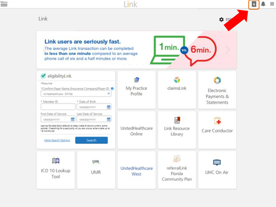